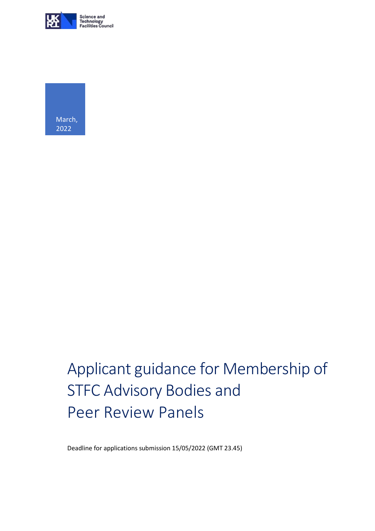



# Applicant guidance for Membership of STFC Advisory Bodies and Peer Review Panels

Deadline for applications submission 15/05/2022 (GMT 23.45)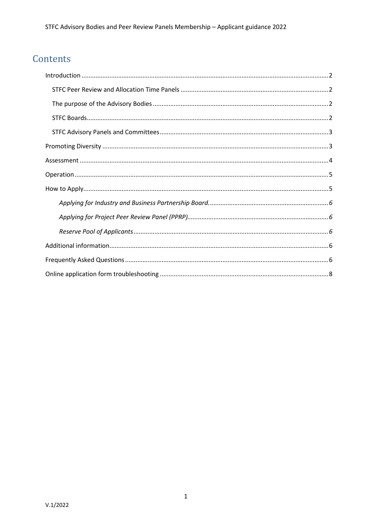# Contents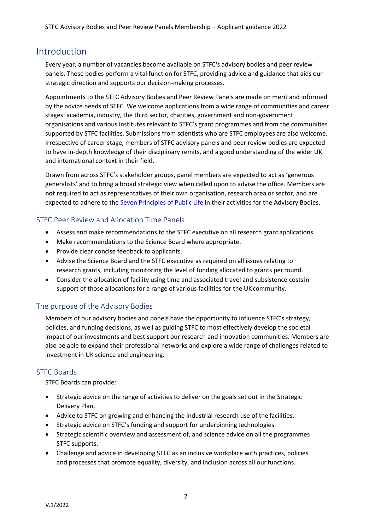# <span id="page-2-0"></span>Introduction

Every year, a number of vacancies become available on STFC's advisory bodies and peer review panels. These bodies perform a vital function for STFC, providing advice and guidance that aids our strategic direction and supports our decision-making processes.

Appointments to the STFC Advisory Bodies and Peer Review Panels are made on merit and informed by the advice needs of STFC. We welcome applications from a wide range of communities and career stages: academia, industry, the third sector, charities, government and non-government organisations and various institutes relevant to STFC's grant programmes and from the communities supported by STFC facilities. Submissions from scientists who are STFC employees are also welcome. Irrespective of career stage, members of STFC advisory panels and peer review bodies are expected to have in-depth knowledge of their disciplinary remits, and a good understanding of the wider UK and international context in their field.

Drawn from across STFC's stakeholder groups, panel members are expected to act as 'generous generalists' and to bring a broad strategic view when called upon to advise the office. Members are **not** required to act as representatives of their own organisation, research area or sector, and are expected to adhere to the Seven Principles of Public Life in their activities for the Advisory Bodies.

#### <span id="page-2-1"></span>STFC Peer Review and Allocation Time Panels

- Assess and make recommendations to the STFC executive on all research grant applications.
- Make recommendations to the Science Board where appropriate.
- Provide clear concise feedback to applicants.
- Advise the Science Board and the STFC executive as required on all issues relating to research grants, including monitoring the level of funding allocated to grants perround.
- Consider the allocation of facility using time and associated travel and subsistence costsin support of those allocations for a range of various facilities for the UK community.

## <span id="page-2-2"></span>The purpose of the Advisory Bodies

Members of our advisory bodies and panels have the opportunity to influence STFC's strategy, policies, and funding decisions, as well as guiding STFC to most effectively develop the societal impact of our investments and best support our research and innovation communities. Members are also be able to expand their professional networks and explore a wide range of challenges related to investment in UK science and engineering.

## <span id="page-2-3"></span>STFC Boards

STFC Boards can provide:

- Strategic advice on the range of activities to deliver on the goals set out in the [Strategic](https://stfc.ukri.org/files/corporate-publications/delivery-plan-2016/)  [Delivery](https://stfc.ukri.org/files/corporate-publications/delivery-plan-2016/) [Plan.](https://stfc.ukri.org/files/corporate-publications/delivery-plan-2016/)
- Advice to STFC on growing and enhancing the industrial research use of the facilities.
- Strategic advice on STFC's funding and support for underpinning technologies.
- Strategic scientific overview and assessment of, and science advice on all the programmes STFC supports.
- Challenge and advice in developing STFC as an inclusive workplace with practices, policies and processes that promote equality, diversity, and inclusion across all our functions.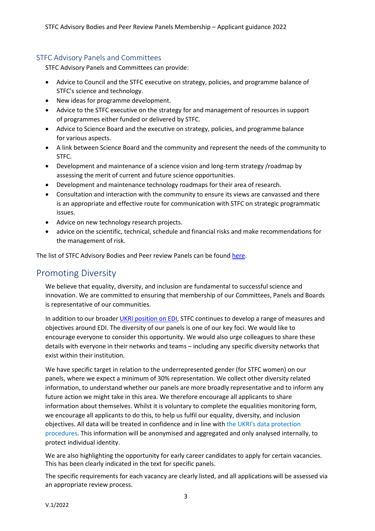## <span id="page-3-0"></span>STFC Advisory Panels and Committees

STFC Advisory Panels and Committees can provide:

- Advice to Council and the STFC executive on strategy, policies, and programme balance of STFC's science and technology.
- New ideas for programme development.
- Advice to the STFC executive on the strategy for and management of resources in support of programmes either funded or delivered by STFC.
- Advice to Science Board and the executive on strategy, policies, and programme balance for various aspects.
- A link between Science Board and the community and represent the needs of the community to STFC.
- Development and maintenance of a science vision and long-term strategy /roadmap by assessing the merit of current and future science opportunities.
- Development and maintenance technology roadmaps for their area of research.
- Consultation and interaction with the community to ensure its views are canvassed and there is an appropriate and effective route for communication with STFC on strategic programmatic issues.
- Advice on new technology research projects.
- advice on the scientific, technical, schedule and financial risks and make recommendations for the management of risk.

The list of STFC Advisory Bodies and Peer review Panels can be foun[d here.](https://stfc.ukri.org/about-us/how-we-are-governed/advisory-boards/)

# <span id="page-3-1"></span>Promoting Diversity

We believe that equality, diversity, and inclusion are fundamental to successful science and innovation. We are committed to ensuring that membership of our Committees, Panels and Boards is representative of our communities.

In addition to our broader UKRI [position](https://www.ukri.org/about-us/equality-diversity-and-inclusion/where-we-stand/) on EDI, STFC continues to develop a range of measures and objectives around EDI. The diversity of our panels is one of our key foci. We would like to encourage everyone to consider this opportunity. We would also urge colleagues to share these details with everyone in their networks and teams – including any specific diversity networks that exist within their institution.

We have specific target in relation to the underrepresented gender (for STFC women) on our panels, where we expect a minimum of 30% representation. We collect other diversity related information, to understand whether our panels are more broadly representative and to inform any future action we might take in this area. We therefore encourage all applicants to share information about themselves. Whilst it is voluntary to complete the equalities monitoring form, we encourage all applicants to do this, to help us fulfil our equality, diversity, and inclusion objectives. All data will be treated in confidence and in line with [the UKRI's data protection](https://www.ukri.org/privacy-notice/)  [procedures.](https://www.ukri.org/privacy-notice/) This information will be anonymised and aggregated and only analysed internally, to protect individual identity.

We are also highlighting the opportunity for early career candidates to apply for certain vacancies. This has been clearly indicated in the text for specific panels.

The specific requirements for each vacancy are clearly listed, and all applications will be assessed via an appropriate review process.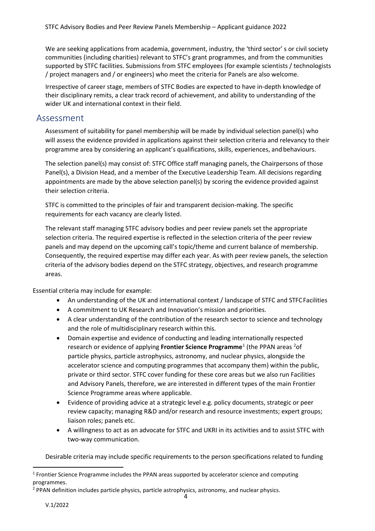We are seeking applications from academia, government, industry, the 'third sector' s or civil society communities (including charities) relevant to STFC's grant programmes, and from the communities supported by STFC facilities. Submissions from STFC employees (for example scientists / technologists / project managers and / or engineers) who meet the criteria for Panels are also welcome.

Irrespective of career stage, members of STFC Bodies are expected to have in-depth knowledge of their disciplinary remits, a clear track record of achievement, and ability to understanding of the wider UK and international context in their field.

## <span id="page-4-0"></span>Assessment

Assessment of suitability for panel membership will be made by individual selection panel(s) who will assess the evidence provided in applications against their selection criteria and relevancy to their programme area by considering an applicant's qualifications, skills, experiences, and behaviours.

The selection panel(s) may consist of: STFC Office staff managing panels, the Chairpersons of those Panel(s), a Division Head, and a member of the Executive Leadership Team. All decisions regarding appointments are made by the above selection panel(s) by scoring the evidence provided against their selection criteria.

STFC is committed to the principles of fair and transparent decision-making. The specific requirements for each vacancy are clearly listed.

The relevant staff managing STFC advisory bodies and peer review panels set the appropriate selection criteria. The required expertise is reflected in the selection criteria of the peer review panels and may depend on the upcoming call's topic/theme and current balance of membership. Consequently, the required expertise may differ each year. As with peer review panels, the selection criteria of the advisory bodies depend on the STFC strategy, objectives, and research programme areas.

Essential criteria may include for example:

- An understanding of the UK and international context / landscape of STFC and STFC Facilities
- A commitment to UK Research and Innovation's mission and priorities.
- A clear understanding of the contribution of the research sector to science and technology and the role of multidisciplinary research within this.
- Domain expertise and evidence of conducting and leading internationally respected research or evidence of applying Frontier Science Programme<sup>[1](#page-4-1)</sup> (the PPAN areas <sup>[2](#page-4-2)</sup>of particle physics, particle astrophysics, astronomy, and nuclear physics, alongside the accelerator science and computing programmes that accompany them) within the public, private or third sector. STFC cover funding for these core areas but we also run Facilities and Advisory Panels, therefore, we are interested in different types of the main Frontier Science Programme areas where applicable.
- Evidence of providing advice at a strategic level e.g. policy documents, strategic or peer review capacity; managing R&D and/or research and resource investments; expert groups; liaison roles; panels etc.
- A willingness to act as an advocate for STFC and UKRI in its activities and to assist STFC with two-way communication.

Desirable criteria may include specific requirements to the person specifications related to funding

<span id="page-4-1"></span> $<sup>1</sup>$  Frontier Science Programme includes the PPAN areas supported by accelerator science and computing</sup> programmes.

<span id="page-4-2"></span><sup>&</sup>lt;sup>2</sup> PPAN definition includes particle physics, particle astrophysics, astronomy, and nuclear physics.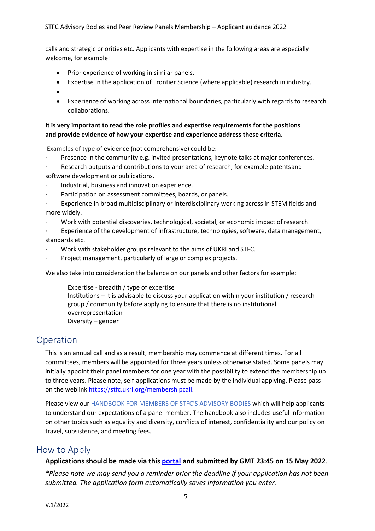calls and strategic priorities etc. Applicants with expertise in the following areas are especially welcome, for example:

- Prior experience of working in similar panels.
- Expertise in the application of Frontier Science (where applicable) research in industry.
- •
- Experience of working across international boundaries, particularly with regards to research collaborations.

#### **It is very important to read the role profiles and expertise requirements for the positions and provide evidence of how your expertise and experience address these criteria**.

Examples of type of evidence (not comprehensive) could be:

- Presence in the community e.g. invited presentations, keynote talks at major conferences.
- Research outputs and contributions to your area of research, for example patentsand software development or publications.
- · Industrial, business and innovation experience.
- Participation on assessment committees, boards, or panels.
- Experience in broad multidisciplinary or interdisciplinary working across in STEM fields and more widely.
- · Work with potential discoveries, technological, societal, or economic impact ofresearch.

· Experience of the development of infrastructure, technologies, software, data management, standards etc.

- · Work with stakeholder groups relevant to the aims of UKRI and STFC.
- Project management, particularly of large or complex projects.

We also take into consideration the balance on our panels and other factors for example:

- Expertise breadth / type of expertise
- Institutions it is advisable to discuss your application within your institution / research group / community before applying to ensure that there is no institutional overrepresentation
- Diversity gender

# <span id="page-5-0"></span>Operation

This is an annual call and as a result, membership may commence at different times. For all committees, members will be appointed for three years unless otherwise stated. Some panels may initially appoint their panel members for one year with the possibility to extend the membership up to three years. Please note, self-applications must be made by the individual applying. Please pass on the weblink [https://stfc.ukri.org/membershipcall.](https://stfc.ukri.org/membershipcall)

Please view ou[r HANDBOOK FOR MEMBERS OF STFC'S ADVISORY BODIES w](https://stfc.ukri.org/files/handbook-for-members-of-stfcs-advisory-bodies/)hich will help applicants to understand our expectations of a panel member. The handbook also includes useful information on other topics such as equality and diversity, conflicts of interest, confidentiality and our policy on travel, subsistence, and meeting fees.

# <span id="page-5-1"></span>How to Apply

#### **Applications should be made via this [portal](https://www.surveymonkey.co.uk/r/STFCMembershipCall2022) and submitted by GMT 23:45 on 15 May 2022**.

*\*Please note we may send you a reminder prior the deadline if your application has not been submitted. The application form automatically saves information you enter.*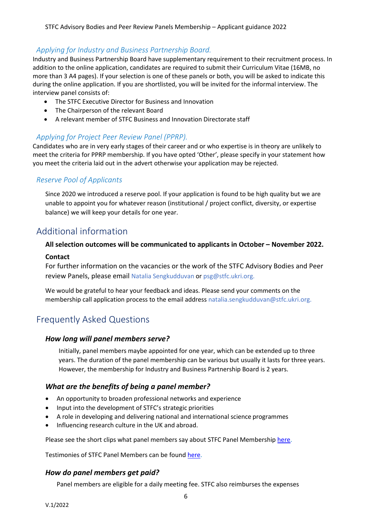# <span id="page-6-0"></span>*Applying for Industry and Business Partnership Board.*

Industry and Business Partnership Board have supplementary requirement to their recruitment process. In addition to the online application, candidates are required to submit their Curriculum Vitae (16MB, no more than 3 A4 pages). If your selection is one of these panels or both, you will be asked to indicate this during the online application. If you are shortlisted, you will be invited for the informal interview. The interview panel consists of:

- The STFC Executive Director for Business and Innovation
- The Chairperson of the relevant Board
- A relevant member of STFC Business and Innovation Directorate staff

# <span id="page-6-1"></span>*Applying for Project Peer Review Panel (PPRP).*

Candidates who are in very early stages of their career and or who expertise is in theory are unlikely to meet the criteria for PPRP membership. If you have opted 'Other', please specify in your statement how you meet the criteria laid out in the advert otherwise your application may be rejected.

## <span id="page-6-2"></span>*Reserve Pool of Applicants*

Since 2020 we introduced a reserve pool. If your application is found to be high quality but we are unable to appoint you for whatever reason (institutional / project conflict, diversity, or expertise balance) we will keep your details for one year.

# <span id="page-6-3"></span>Additional information

# **All selection outcomes will be communicated to applicants in October – November 2022. Contact**

For further information on the vacancies or the work of the STFC Advisory Bodies and Peer review Panels, please email [Natalia Sengkudduvan o](mailto:natalia.sengkudduvan@stfc.ukri.org)r [psg@stfc.ukri.org.](mailto:psg@stfc.ukri.org)

We would be grateful to hear your feedback and ideas. Please send your comments on the membership call application process to [the e](mailto:natalia.sengkudduvan@stfc.ac.uk)mail address [natalia.sengkudduvan@stfc.ukri.org.](mailto:natalia.sengkudduvan@stfc.ukri.org)

# <span id="page-6-4"></span>Frequently Asked Questions

## *How long will panel members serve?*

Initially, panel members maybe appointed for one year, which can be extended up to three years. The duration of the panel membership can be various but usually it lasts for three years. However, the membership for Industry and Business Partnership Board is 2 years.

## *What are the benefits of being a panel member?*

- An opportunity to broaden professional networks and experience
- Input into the development of STFC's strategic priorities
- A role in developing and delivering national and international science programmes
- Influencing research culture in the UK and abroad.

Please see the short clips what panel members say about STFC Panel Membership [here.](https://stfc.ukri.org/membershipcall)

Testimonies of STFC Panel Members can be found [here.](https://stfc.ukri.org/membershipcall)

## *How do panel members get paid?*

Panel members are eligible for a daily meeting fee. STFC also reimburses the expenses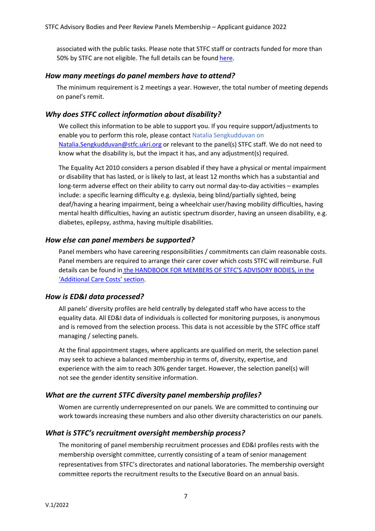associated with the public tasks. Please note that STFC staff or contracts funded for more than 50% by STFC are not eligible. The full details can be found [here.](https://stfc.ukri.org/files/handbook-for-members-of-stfcs-advisory-bodies/)

#### *How many meetings do panel members have to attend?*

The minimum requirement is 2 meetings a year. However, the total number of meeting depends on panel's remit.

#### *Why does STFC collect information about disability?*

We collect this information to be able to support you. If you require support/adjustments to enable you to perform this role, please contact [Natalia Sengkudduvan o](mailto:natalia.sengkudduvan@stfc.ac.uk)n [Natalia.Sengkudduvan@stfc.ukri.org](mailto:Natalia.Sengkudduvan@stfc.ukri.org) or relevant to the panel(s) STFC staff. We do not need to know what the disability is, but the impact it has, and any adjustment(s) required.

The Equality Act 2010 considers a person disabled if they have a physical or mental impairment or disability that has lasted, or is likely to last, at least 12 months which has a substantial and long-term adverse effect on their ability to carry out normal day-to-day activities – examples include: a specific learning difficulty e.g. dyslexia, being blind/partially sighted, being deaf/having a hearing impairment, being a wheelchair user/having mobility difficulties, having mental health difficulties, having an autistic spectrum disorder, having an unseen disability, e.g. diabetes, epilepsy, asthma, having multiple disabilities.

#### *How else can panel members be supported?*

Panel members who have careering responsibilities / commitments can claim reasonable costs. Panel members are required to arrange their carer cover which costs STFC will reimburse. Full details can be found in the HANDBOOK FOR [MEMBERS OF STFC'S ADVISORY BODIES, in the](https://stfc.ukri.org/files/handbook-for-members-of-stfcs-advisory-bodies/) ['Additional Care Costs' section.](https://stfc.ukri.org/files/handbook-for-members-of-stfcs-advisory-bodies/)

#### *How is ED&I data processed?*

All panels' diversity profiles are held centrally by delegated staff who have access to the equality data. All ED&I data of individuals is collected for monitoring purposes, is anonymous and is removed from the selection process. This data is not accessible by the STFC office staff managing / selecting panels.

At the final appointment stages, where applicants are qualified on merit, the selection panel may seek to achieve a balanced membership in terms of, diversity, expertise, and experience with the aim to reach 30% gender target. However, the selection panel(s) will not see the gender identity sensitive information.

#### *What are the current STFC diversity panel membership profiles?*

Women are currently underrepresented on our panels. We are committed to continuing our work towards increasing these numbers and also other diversity characteristics on our panels.

#### *What is STFC's recruitment oversight membership process?*

The monitoring of panel membership recruitment processes and ED&I profiles rests with the membership oversight committee, currently consisting of a team of senior management representatives from STFC's directorates and national laboratories. The membership oversight committee reports the recruitment results to the Executive Board on an annual basis.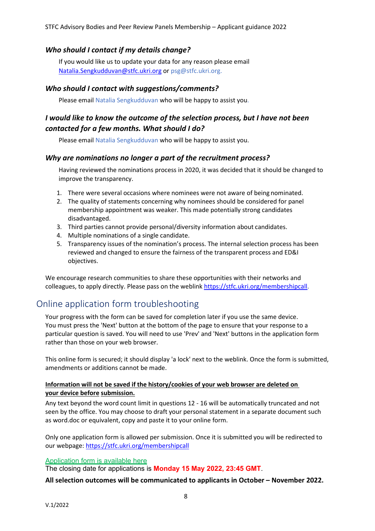## *Who should I contact if my details change?*

If you would like us to update your data for any reason please email [Natalia.Sengkudduvan@stfc.ukri.org](mailto:Natalia.Sengkudduvan@stfc.ukri.org) or [psg@stfc.ukri.org.](mailto:psg@stfc.ukri.org)

#### *Who should I contact with suggestions/comments?*

Please emai[l Natalia Sengkudduvan w](mailto:natalia.sengkudduvan@stfc.ukri.org)ho will be happy to assist you.

# *I would like to know the outcome of the selection process, but I have not been contacted for a few months. What should I do?*

Please emai[l Natalia Sengkudduvan w](mailto:natalia.sengkudduvan@stfc.ac.uk)ho will be happy to assist you.

#### *Why are nominations no longer a part of the recruitment process?*

Having reviewed the nominations process in 2020, it was decided that it should be changed to improve the transparency.

- 1. There were several occasions where nominees were not aware of being nominated.
- 2. The quality of statements concerning why nominees should be considered for panel membership appointment was weaker. This made potentially strong candidates disadvantaged.
- 3. Third parties cannot provide personal/diversity information about candidates.
- 4. Multiple nominations of a single candidate.
- 5. Transparency issues of the nomination's process. The internal selection process has been reviewed and changed to ensure the fairness of the transparent process and ED&I objectives.

We encourage research communities to share these opportunities with their networks and colleagues, to apply directly. Please pass on the weblink [https://stfc.ukri.org/membershipcall.](https://stfc.ukri.org/membershipcall)

# <span id="page-8-0"></span>Online application form troubleshooting

Your progress with the form can be saved for completion later if you use the same device. You must press the 'Next' button at the bottom of the page to ensure that your response to a particular question is saved. You will need to use 'Prev' and 'Next' buttons in the application form rather than those on your web browser.

This online form is secured; it should display 'a lock' next to the weblink. Once the form is submitted, amendments or additions cannot be made.

#### **Information will not be saved if the history/cookies of your web browser are deleted on your device before submission.**

Any text beyond the word count limit in questions 12 - 16 will be automatically truncated and not seen by the office. You may choose to draft your personal statement in a separate document such as word.doc or equivalent, copy and paste it to your online form.

Only one application form is allowed per submission. Once it is submitted you will be redirected to our webpage:<https://stfc.ukri.org/membershipcall>

#### [Application form is available here](https://www.surveymonkey.co.uk/r/STFCmembershipcall2022)

The closing date for applications is **Monday 15 May 2022, 23:45 GMT**.

**All selection outcomes will be communicated to applicants in October – November 2022.**